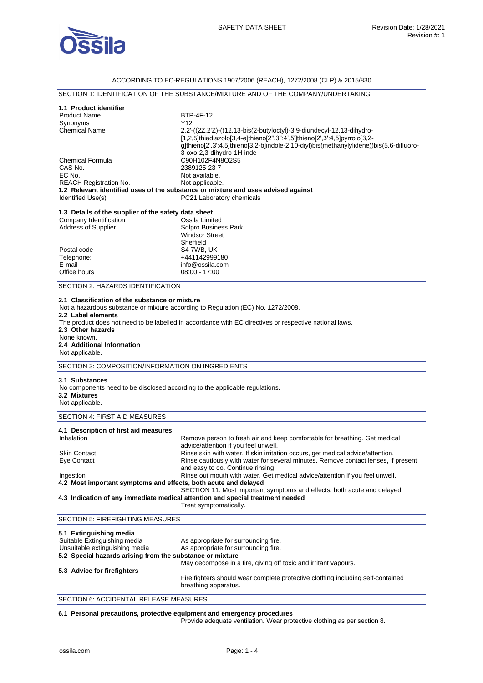

# ACCORDING TO EC-REGULATIONS 1907/2006 (REACH), 1272/2008 (CLP) & 2015/830

# SECTION 1: IDENTIFICATION OF THE SUBSTANCE/MIXTURE AND OF THE COMPANY/UNDERTAKING

| 1.1 Product identifier<br>BTP-4F-12<br><b>Product Name</b><br>Y12<br>Synonyms<br><b>Chemical Name</b><br>2,2'-((2Z,2'Z)-((12,13-bis(2-butyloctyl)-3,9-diundecyl-12,13-dihydro-<br>[1,2,5]thiadiazolo[3,4-e]thieno[2",3":4',5']thieno[2',3':4,5]pyrrolo[3,2-<br>g]thieno[2',3':4,5]thieno[3,2-b]indole-2,10-diyl)bis(methanylylidene))bis(5,6-difluoro-<br>3-oxo-2,3-dihydro-1H-inde |  |  |  |
|-------------------------------------------------------------------------------------------------------------------------------------------------------------------------------------------------------------------------------------------------------------------------------------------------------------------------------------------------------------------------------------|--|--|--|
|                                                                                                                                                                                                                                                                                                                                                                                     |  |  |  |
|                                                                                                                                                                                                                                                                                                                                                                                     |  |  |  |
|                                                                                                                                                                                                                                                                                                                                                                                     |  |  |  |
|                                                                                                                                                                                                                                                                                                                                                                                     |  |  |  |
| C90H102F4N8O2S5<br><b>Chemical Formula</b><br>CAS No.<br>2389125-23-7                                                                                                                                                                                                                                                                                                               |  |  |  |
| EC No.<br>Not available.                                                                                                                                                                                                                                                                                                                                                            |  |  |  |
| <b>REACH Registration No.</b><br>Not applicable.                                                                                                                                                                                                                                                                                                                                    |  |  |  |
| 1.2 Relevant identified uses of the substance or mixture and uses advised against<br>Identified Use(s)<br>PC21 Laboratory chemicals                                                                                                                                                                                                                                                 |  |  |  |
| 1.3 Details of the supplier of the safety data sheet                                                                                                                                                                                                                                                                                                                                |  |  |  |
| Company Identification<br>Ossila Limited                                                                                                                                                                                                                                                                                                                                            |  |  |  |
| Address of Supplier<br>Solpro Business Park<br><b>Windsor Street</b>                                                                                                                                                                                                                                                                                                                |  |  |  |
| Sheffield                                                                                                                                                                                                                                                                                                                                                                           |  |  |  |
| S4 7WB, UK<br>Postal code                                                                                                                                                                                                                                                                                                                                                           |  |  |  |
| Telephone:<br>+441142999180                                                                                                                                                                                                                                                                                                                                                         |  |  |  |
| E-mail<br>info@ossila.com                                                                                                                                                                                                                                                                                                                                                           |  |  |  |
| Office hours<br>08:00 - 17:00                                                                                                                                                                                                                                                                                                                                                       |  |  |  |
| SECTION 2: HAZARDS IDENTIFICATION                                                                                                                                                                                                                                                                                                                                                   |  |  |  |
| 2.1 Classification of the substance or mixture<br>Not a hazardous substance or mixture according to Regulation (EC) No. 1272/2008.<br>2.2 Label elements<br>The product does not need to be labelled in accordance with EC directives or respective national laws.<br>2.3 Other hazards<br>None known.<br>2.4 Additional Information<br>Not applicable.                             |  |  |  |
| SECTION 3: COMPOSITION/INFORMATION ON INGREDIENTS                                                                                                                                                                                                                                                                                                                                   |  |  |  |
| 3.1 Substances<br>No components need to be disclosed according to the applicable regulations.<br>3.2 Mixtures<br>Not applicable.                                                                                                                                                                                                                                                    |  |  |  |
| <b>SECTION 4: FIRST AID MEASURES</b>                                                                                                                                                                                                                                                                                                                                                |  |  |  |
| 4.1 Description of first aid measures<br>Inhalation<br>Remove person to fresh air and keep comfortable for breathing. Get medical<br>advice/attention if you feel unwell.                                                                                                                                                                                                           |  |  |  |
| Rinse skin with water. If skin irritation occurs, get medical advice/attention.<br>Skin Contact<br>Eye Contact<br>Rinse cautiously with water for several minutes. Remove contact lenses, if present                                                                                                                                                                                |  |  |  |
| and easy to do. Continue rinsing.<br>Rinse out mouth with water. Get medical advice/attention if you feel unwell.<br>Ingestion<br>4.2 Most important symptoms and effects, both acute and delayed                                                                                                                                                                                   |  |  |  |
| SECTION 11: Most important symptoms and effects, both acute and delayed<br>4.3 Indication of any immediate medical attention and special treatment needed<br>Treat symptomatically.                                                                                                                                                                                                 |  |  |  |
| <b>SECTION 5: FIREFIGHTING MEASURES</b>                                                                                                                                                                                                                                                                                                                                             |  |  |  |
| 5.1 Extinguishing media<br>Suitable Extinguishing media<br>As appropriate for surrounding fire.<br>Unsuitable extinguishing media<br>As appropriate for surrounding fire.<br>5.2 Special hazards arising from the substance or mixture<br>May decompose in a fire, giving off toxic and irritant vapours.                                                                           |  |  |  |
| 5.3 Advice for firefighters<br>Fire fighters should wear complete protective clothing including self-contained<br>breathing apparatus.                                                                                                                                                                                                                                              |  |  |  |

SECTION 6: ACCIDENTAL RELEASE MEASURES

### **6.1 Personal precautions, protective equipment and emergency procedures**

Provide adequate ventilation. Wear protective clothing as per section 8.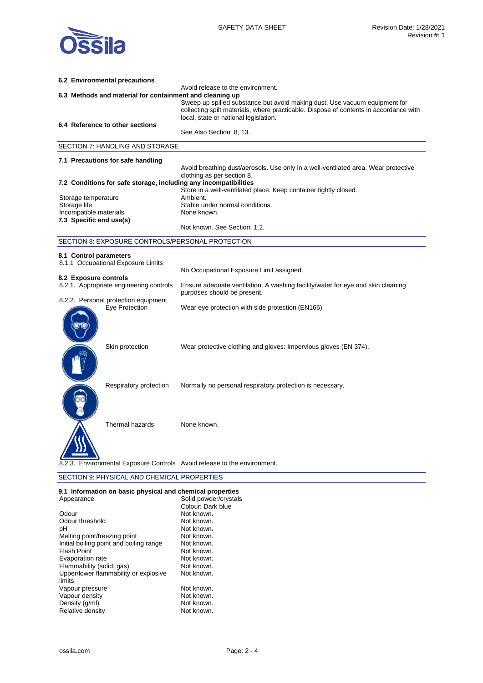

| 6.2 Environmental precautions                                                                 |                                                                                                                                                                                                              |  |  |  |
|-----------------------------------------------------------------------------------------------|--------------------------------------------------------------------------------------------------------------------------------------------------------------------------------------------------------------|--|--|--|
| Avoid release to the environment.<br>6.3 Methods and material for containment and cleaning up |                                                                                                                                                                                                              |  |  |  |
|                                                                                               | Sweep up spilled substance but avoid making dust. Use vacuum equipment for<br>collecting spilt materials, where practicable. Dispose of contents in accordance with<br>local, state or national legislation. |  |  |  |
| 6.4 Reference to other sections                                                               | See Also Section 8, 13.                                                                                                                                                                                      |  |  |  |
| <b>SECTION 7: HANDLING AND STORAGE</b>                                                        |                                                                                                                                                                                                              |  |  |  |
|                                                                                               |                                                                                                                                                                                                              |  |  |  |
| 7.1 Precautions for safe handling                                                             | Avoid breathing dust/aerosols. Use only in a well-ventilated area. Wear protective                                                                                                                           |  |  |  |
|                                                                                               | clothing as per section 8.                                                                                                                                                                                   |  |  |  |
| 7.2 Conditions for safe storage, including any incompatibilities                              | Store in a well-ventilated place. Keep container tightly closed.                                                                                                                                             |  |  |  |
| Storage temperature                                                                           | Ambient.                                                                                                                                                                                                     |  |  |  |
| Storage life                                                                                  | Stable under normal conditions.<br>None known.                                                                                                                                                               |  |  |  |
| Incompatible materials<br>7.3 Specific end use(s)                                             |                                                                                                                                                                                                              |  |  |  |
|                                                                                               | Not known. See Section: 1.2.                                                                                                                                                                                 |  |  |  |
| SECTION 8: EXPOSURE CONTROLS/PERSONAL PROTECTION                                              |                                                                                                                                                                                                              |  |  |  |
| 8.1 Control parameters                                                                        |                                                                                                                                                                                                              |  |  |  |
| 8.1.1 Occupational Exposure Limits                                                            |                                                                                                                                                                                                              |  |  |  |
| 8.2 Exposure controls                                                                         | No Occupational Exposure Limit assigned.                                                                                                                                                                     |  |  |  |
| 8.2.1. Appropriate engineering controls                                                       | Ensure adequate ventilation. A washing facility/water for eye and skin cleaning<br>purposes should be present.                                                                                               |  |  |  |
| 8.2.2. Personal protection equipment<br>Eye Protection                                        | Wear eye protection with side protection (EN166).                                                                                                                                                            |  |  |  |
| Skin protection                                                                               | Wear protective clothing and gloves: Impervious gloves (EN 374).                                                                                                                                             |  |  |  |
| Respiratory protection                                                                        | Normally no personal respiratory protection is necessary.                                                                                                                                                    |  |  |  |
| Thermal hazards                                                                               | None known.                                                                                                                                                                                                  |  |  |  |
| 8.2.3. Environmental Exposure Controls Avoid release to the environment.                      |                                                                                                                                                                                                              |  |  |  |
| SECTION 9: PHYSICAL AND CHEMICAL PROPERTIES                                                   |                                                                                                                                                                                                              |  |  |  |

|  | 9.1 Information on basic physical and chemical properties |  |  |  |  |  |
|--|-----------------------------------------------------------|--|--|--|--|--|
|--|-----------------------------------------------------------|--|--|--|--|--|

| Appearance                              | Solid powder/crystals |
|-----------------------------------------|-----------------------|
|                                         | Colour: Dark blue     |
| Odour                                   | Not known.            |
| Odour threshold                         | Not known.            |
| рH                                      | Not known.            |
| Melting point/freezing point            | Not known.            |
| Initial boiling point and boiling range | Not known.            |
| <b>Flash Point</b>                      | Not known.            |
| Evaporation rate                        | Not known.            |
| Flammability (solid, gas)               | Not known.            |
| Upper/lower flammability or explosive   | Not known.            |
| limits                                  |                       |
| Vapour pressure                         | Not known.            |
| Vapour density                          | Not known.            |
| Density (g/ml)                          | Not known.            |
| Relative density                        | Not known.            |
|                                         |                       |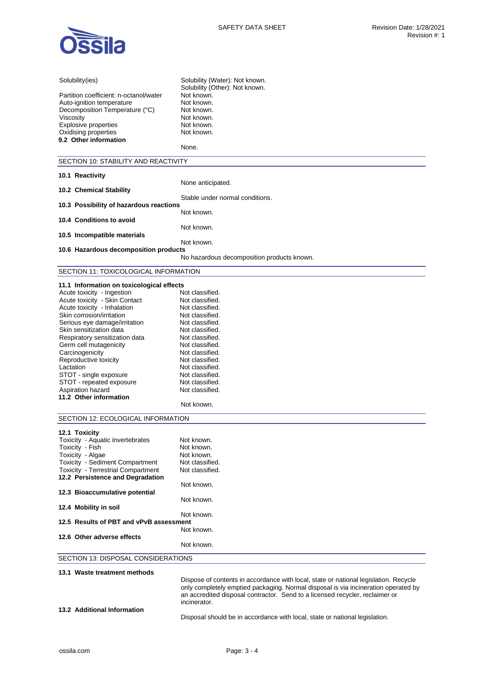

| Solubility(ies)                              | Solubility (Water): Not known.                                                       |
|----------------------------------------------|--------------------------------------------------------------------------------------|
|                                              | Solubility (Other): Not known.                                                       |
| Partition coefficient: n-octanol/water       | Not known.                                                                           |
| Auto-ignition temperature                    | Not known.                                                                           |
| Decomposition Temperature (°C)               | Not known.                                                                           |
| Viscosity                                    | Not known.                                                                           |
| Explosive properties<br>Oxidising properties | Not known.<br>Not known.                                                             |
| 9.2 Other information                        |                                                                                      |
|                                              | None.                                                                                |
| SECTION 10: STABILITY AND REACTIVITY         |                                                                                      |
|                                              |                                                                                      |
| 10.1 Reactivity                              |                                                                                      |
|                                              | None anticipated.                                                                    |
| 10.2 Chemical Stability                      | Stable under normal conditions.                                                      |
| 10.3 Possibility of hazardous reactions      |                                                                                      |
|                                              | Not known.                                                                           |
| 10.4 Conditions to avoid                     |                                                                                      |
|                                              | Not known.                                                                           |
| 10.5 Incompatible materials                  |                                                                                      |
|                                              | Not known.                                                                           |
| 10.6 Hazardous decomposition products        |                                                                                      |
|                                              | No hazardous decomposition products known.                                           |
| SECTION 11: TOXICOLOGICAL INFORMATION        |                                                                                      |
| 11.1 Information on toxicological effects    |                                                                                      |
| Acute toxicity - Ingestion                   | Not classified.                                                                      |
| Acute toxicity - Skin Contact                | Not classified.                                                                      |
| Acute toxicity - Inhalation                  | Not classified.                                                                      |
| Skin corrosion/irritation                    | Not classified.                                                                      |
| Serious eye damage/irritation                | Not classified.                                                                      |
| Skin sensitization data                      | Not classified.                                                                      |
| Respiratory sensitization data               | Not classified.                                                                      |
| Germ cell mutagenicity                       | Not classified.                                                                      |
| Carcinogenicity<br>Reproductive toxicity     | Not classified.<br>Not classified.                                                   |
| Lactation                                    | Not classified.                                                                      |
| STOT - single exposure                       | Not classified.                                                                      |
| STOT - repeated exposure                     | Not classified.                                                                      |
| Aspiration hazard                            | Not classified.                                                                      |
| 11.2 Other information                       |                                                                                      |
|                                              | Not known.                                                                           |
| SECTION 12: ECOLOGICAL INFORMATION           |                                                                                      |
| 12.1 Toxicity                                |                                                                                      |
| Toxicity - Aquatic invertebrates             | Not known.                                                                           |
| Toxicity - Fish                              | Not known.                                                                           |
| Toxicity - Algae                             | Not known.                                                                           |
| <b>Toxicity - Sediment Compartment</b>       | Not classified.                                                                      |
| Toxicity - Terrestrial Compartment           | Not classified.                                                                      |
| 12.2 Persistence and Degradation             |                                                                                      |
|                                              | Not known.                                                                           |
| 12.3 Bioaccumulative potential               | Not known.                                                                           |
| 12.4 Mobility in soil                        |                                                                                      |
|                                              | Not known.                                                                           |
| 12.5 Results of PBT and vPvB assessment      |                                                                                      |
|                                              | Not known.                                                                           |
| 12.6 Other adverse effects                   |                                                                                      |
|                                              | Not known.                                                                           |
| SECTION 13: DISPOSAL CONSIDERATIONS          |                                                                                      |
|                                              |                                                                                      |
| 13.1 Waste treatment methods                 | Dispose of contents in accordance with local, state or national legislation. Recycle |
|                                              | only completely emptied packaging. Normal disposal is via incineration operated by   |
|                                              |                                                                                      |

Disposal should be in accordance with local, state or national legislation.

an accredited disposal contractor. Send to a licensed recycler, reclaimer or

**13.2 Additional Information** 

incinerator.